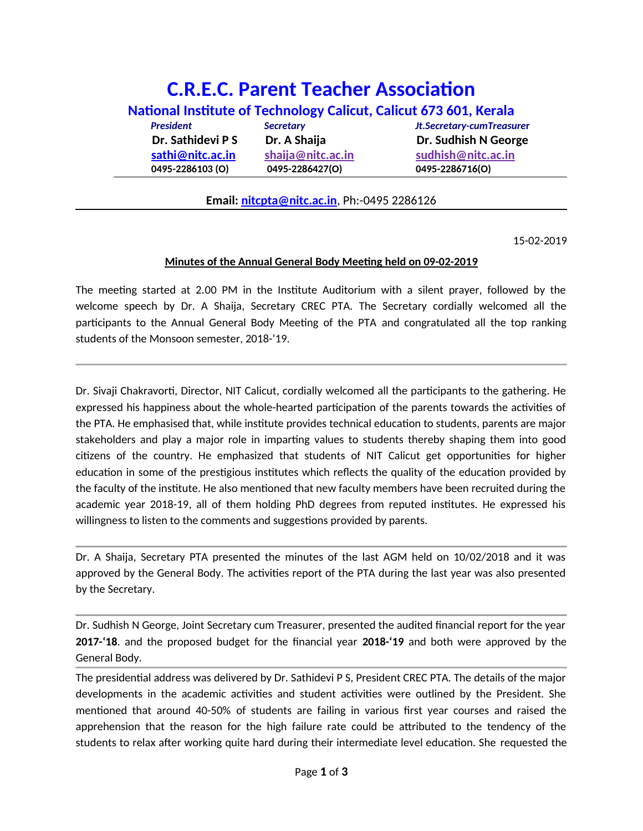## **C.R.E.C. Parent Teacher Association National Institute of Technology Calicut, Calicut 673 601, Kerala** *President Secretary Jt.Secretary-cumTreasure***r Dr. Sathidevi P S Dr. A Shaija Dr. Sudhish N George [sathi@nitc.ac.in](mailto:sathi@nitc.ac.in) shaija@nitc.ac.in sudhish@nitc.ac.in 0495-2286103 (O) 0495-2286427(O) 0495-2286716(O)**

## **Email: [nitcpta@nitc.ac.in](mailto:nitcpta@nitc.ac.in)**, Ph:-0495 2286126

15-02-2019

## **Minutes of the Annual General Body Meeting held on 09-02-2019**

The meeting started at 2.00 PM in the Institute Auditorium with a silent prayer, followed by the welcome speech by Dr. A Shaija, Secretary CREC PTA. The Secretary cordially welcomed all the participants to the Annual General Body Meeting of the PTA and congratulated all the top ranking students of the Monsoon semester, 2018-'19.

Dr. Sivaji Chakravorti, Director, NIT Calicut, cordially welcomed all the participants to the gathering. He expressed his happiness about the whole-hearted participation of the parents towards the activities of the PTA. He emphasised that, while institute provides technical education to students, parents are major stakeholders and play a major role in imparting values to students thereby shaping them into good citizens of the country. He emphasized that students of NIT Calicut get opportunities for higher education in some of the prestigious institutes which reflects the quality of the education provided by the faculty of the institute. He also mentioned that new faculty members have been recruited during the academic year 2018-19, all of them holding PhD degrees from reputed institutes. He expressed his willingness to listen to the comments and suggestions provided by parents.

Dr. A Shaija, Secretary PTA presented the minutes of the last AGM held on 10/02/2018 and it was approved by the General Body. The activities report of the PTA during the last year was also presented by the Secretary.

Dr. Sudhish N George, Joint Secretary cum Treasurer, presented the audited financial report for the year **2017-'18**. and the proposed budget for the financial year **2018-'19** and both were approved by the General Body.

The presidential address was delivered by Dr. Sathidevi P S, President CREC PTA. The details of the major developments in the academic activities and student activities were outlined by the President. She mentioned that around 40-50% of students are failing in various first year courses and raised the apprehension that the reason for the high failure rate could be attributed to the tendency of the students to relax after working quite hard during their intermediate level education. She requested the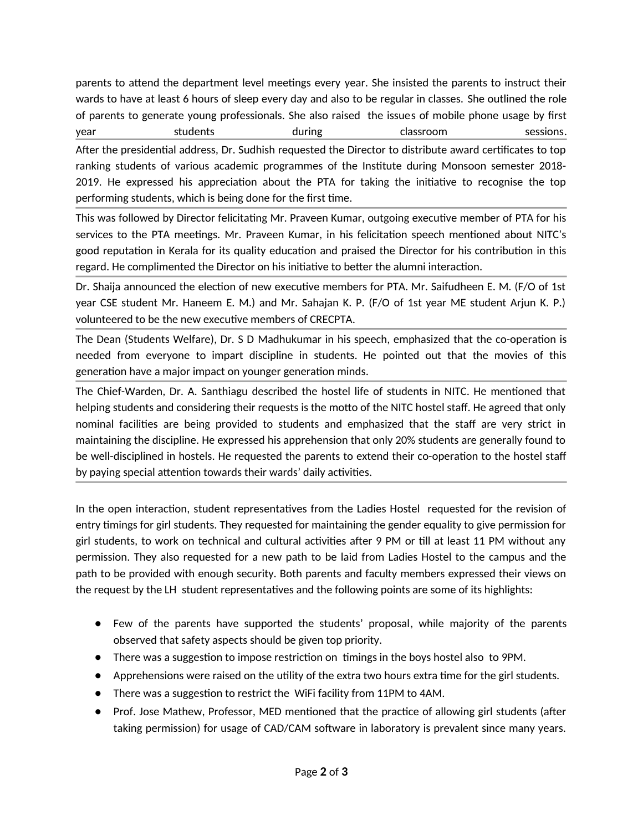parents to attend the department level meetings every year. She insisted the parents to instruct their wards to have at least 6 hours of sleep every day and also to be regular in classes. She outlined the role of parents to generate young professionals. She also raised the issues of mobile phone usage by first year students during classroom sessions.

After the presidential address, Dr. Sudhish requested the Director to distribute award certificates to top ranking students of various academic programmes of the Institute during Monsoon semester 2018- 2019. He expressed his appreciation about the PTA for taking the initiative to recognise the top performing students, which is being done for the first time.

This was followed by Director felicitating Mr. Praveen Kumar, outgoing executive member of PTA for his services to the PTA meetings. Mr. Praveen Kumar, in his felicitation speech mentioned about NITC's good reputation in Kerala for its quality education and praised the Director for his contribution in this regard. He complimented the Director on his initiative to better the alumni interaction.

Dr. Shaija announced the election of new executive members for PTA. Mr. Saifudheen E. M. (F/O of 1st year CSE student Mr. Haneem E. M.) and Mr. Sahajan K. P. (F/O of 1st year ME student Arjun K. P.) volunteered to be the new executive members of CRECPTA.

The Dean (Students Welfare), Dr. S D Madhukumar in his speech, emphasized that the co-operation is needed from everyone to impart discipline in students. He pointed out that the movies of this generation have a major impact on younger generation minds.

The Chief-Warden, Dr. A. Santhiagu described the hostel life of students in NITC. He mentioned that helping students and considering their requests is the motto of the NITC hostel staff. He agreed that only nominal facilities are being provided to students and emphasized that the staff are very strict in maintaining the discipline. He expressed his apprehension that only 20% students are generally found to be well-disciplined in hostels. He requested the parents to extend their co-operation to the hostel staff by paying special attention towards their wards' daily activities.

In the open interaction, student representatives from the Ladies Hostel requested for the revision of entry timings for girl students. They requested for maintaining the gender equality to give permission for girl students, to work on technical and cultural activities after 9 PM or till at least 11 PM without any permission. They also requested for a new path to be laid from Ladies Hostel to the campus and the path to be provided with enough security. Both parents and faculty members expressed their views on the request by the LH student representatives and the following points are some of its highlights:

- Few of the parents have supported the students' proposal, while majority of the parents observed that safety aspects should be given top priority.
- There was a suggestion to impose restriction on timings in the boys hostel also to 9PM.
- Apprehensions were raised on the utility of the extra two hours extra time for the girl students.
- There was a suggestion to restrict the WiFi facility from 11PM to 4AM.
- Prof. Jose Mathew, Professor, MED mentioned that the practice of allowing girl students (after taking permission) for usage of CAD/CAM software in laboratory is prevalent since many years.